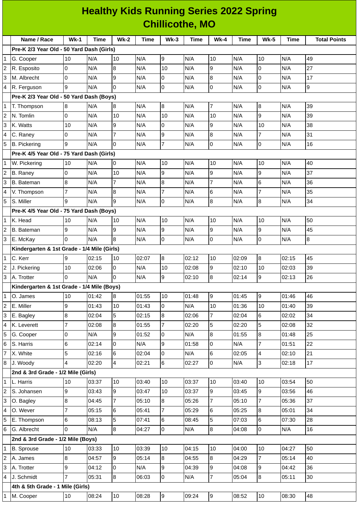## **Healthy Kids Running Series 2022 Spring Chillicothe, MO**

|                                           | Name / Race                                 | $Wk-1$         | <b>Time</b> | <b>Wk-2</b>      | Time  | $Wk-3$         | Time  | $Wk-4$           | <b>Time</b> | <b>Wk-5</b>     | <b>Time</b> | <b>Total Points</b> |
|-------------------------------------------|---------------------------------------------|----------------|-------------|------------------|-------|----------------|-------|------------------|-------------|-----------------|-------------|---------------------|
| Pre-K 2/3 Year Old - 50 Yard Dash (Girls) |                                             |                |             |                  |       |                |       |                  |             |                 |             |                     |
| 1                                         | G. Cooper                                   | 10             | N/A         | 10               | N/A   | 9              | N/A   | 10               | N/A         | 10              | N/A         | 49                  |
| 2                                         | R. Esposito                                 | 0              | N/A         | $\bf{8}$         | N/A   | 10             | N/A   | 9                | N/A         | $\mathsf{O}$    | N/A         | 27                  |
| 3                                         | M. Albrecht                                 | $\overline{0}$ | N/A         | $\overline{9}$   | N/A   | 0              | N/A   | $\overline{8}$   | N/A         | $\overline{0}$  | N/A         | 17                  |
| 4                                         | R. Ferguson                                 | 9              | N/A         | l0               | N/A   | 0              | N/A   | $\pmb{0}$        | N/A         | l0              | N/A         | 9                   |
|                                           | Pre-K 2/3 Year Old - 50 Yard Dash (Boys)    |                |             |                  |       |                |       |                  |             |                 |             |                     |
| 1                                         | T. Thompson                                 | 8              | N/A         | $\bf{8}$         | N/A   | 8              | N/A   | $\overline{7}$   | N/A         | $\overline{8}$  | N/A         | 39                  |
| $\overline{c}$                            | N. Tomlin                                   | 0              | N/A         | 10               | N/A   | 10             | N/A   | 10               | N/A         | 9               | N/A         | 39                  |
| 3                                         | K. Watts                                    | 10             | N/A         | 9                | N/A   | 0              | N/A   | 9                | N/A         | 10              | N/A         | 38                  |
| 4                                         | C. Raney                                    | $\overline{0}$ | N/A         | $\overline{7}$   | N/A   | 9              | N/A   | $\bf 8$          | N/A         | $\overline{7}$  | N/A         | 31                  |
| 5                                         | <b>B.</b> Pickering                         | 9              | N/A         | $\overline{0}$   | N/A   | $\overline{7}$ | N/A   | $\mathsf{O}$     | N/A         | l0              | N/A         | 16                  |
|                                           | Pre-K 4/5 Year Old - 75 Yard Dash (Girls)   |                |             |                  |       |                |       |                  |             |                 |             |                     |
| $\mathbf{1}$                              | W. Pickering                                | 10             | N/A         | O                | N/A   | 10             | N/A   | 10               | N/A         | 10              | N/A         | 40                  |
|                                           | <b>B.</b> Raney                             | 0              | N/A         | 10               | N/A   | 9              | N/A   | 9                | N/A         | $\overline{9}$  | N/A         | 37                  |
| 3                                         | <b>B.</b> Bateman                           | 8              | N/A         | $\overline{7}$   | N/A   | 8              | N/A   | $\overline{7}$   | N/A         | $6\phantom{.}6$ | N/A         | 36                  |
| 4                                         | V. Thompson                                 | $\overline{7}$ | N/A         | $\bf{8}$         | N/A   | $\overline{7}$ | N/A   | 6                | N/A         | $\overline{7}$  | N/A         | 35                  |
| 5                                         | S. Miller                                   | 9              | N/A         | 9                | N/A   | 0              | N/A   | $\bf 8$          | N/A         | $\overline{8}$  | N/A         | 34                  |
|                                           | Pre-K 4/5 Year Old - 75 Yard Dash (Boys)    |                |             |                  |       |                |       |                  |             |                 |             |                     |
| $\mathbf{1}$                              | K. Head                                     | 10             | N/A         | 10               | N/A   | 10             | N/A   | 10               | N/A         | 10              | N/A         | 50                  |
| 2                                         | <b>B.</b> Bateman                           | 9              | N/A         | 9                | N/A   | 9              | N/A   | 9                | N/A         | $\mathsf g$     | N/A         | 45                  |
| 3                                         | E. McKay                                    | $\Omega$       | N/A         | 8                | N/A   | 0              | N/A   | $\mathsf{O}$     | N/A         | O               | N/A         | 8                   |
|                                           | Kindergarten & 1st Grade - 1/4 Mile (Girls) |                |             |                  |       |                |       |                  |             |                 |             |                     |
| $\mathbf{1}$                              | C. Kerr                                     | 9              | 02:15       | 10               | 02:07 | 8              | 02:12 | 10               | 02:09       | $\overline{8}$  | 02:15       | 45                  |
| $\overline{c}$                            | J. Pickering                                | 10             | 02:06       | $\overline{0}$   | N/A   | 10             | 02:08 | 9                | 02:10       | 10              | 02:03       | 39                  |
| 3                                         | A. Trotter                                  | $\overline{0}$ | N/A         | $\overline{0}$   | N/A   | 9              | 02:10 | $\overline{8}$   | 02:14       | 9               | 02:13       | 26                  |
|                                           | Kindergarten & 1st Grade - 1/4 Mile (Boys)  |                |             |                  |       |                |       |                  |             |                 |             |                     |
| $\mathbf{1}$                              | O. James                                    | 10             | 01:42       | $\boldsymbol{8}$ | 01:55 | 10             | 01:48 | 9                | 01:45       | 9               | 01:46       | 46                  |
| $\overline{c}$                            | E. Miller                                   | 9              | 01:43       | 10               | 01:43 | 0              | N/A   | 10               | 01:36       | 10              | 01:40       | 39                  |
| 3                                         | E. Bagley                                   | 8              | 02:04       | 5                | 02:15 | 8              | 02:06 | $\overline{7}$   | 02:04       | $6\overline{6}$ | 02:02       | 34                  |
| 4                                         | K. Leverett                                 | 7              | 02:08       | 8                | 01:55 | $\overline{7}$ | 02:20 | 5                | 02:20       | 5               | 02:08       | 32                  |
| 5                                         | G. Cooper                                   | 0              | N/A         | 9                | 01:52 | 0              | N/A   | $\overline{8}$   | 01:55       | 8               | 01:48       | 25                  |
| 6                                         | S. Harris                                   | 6              | 02:14       | $\mathsf{O}$     | N/A   | 9              | 01:58 | l0               | N/A         | $\overline{7}$  | 01:51       | 22                  |
| $\overline{7}$                            | X. White                                    | 5              | 02:16       | 6                | 02:04 | 0              | N/A   | 6                | 02:05       | 4               | 02:10       | 21                  |
| 8                                         | J. Woody                                    | 4              | 02:20       | 4                | 02:21 | 6              | 02:27 | $\mathsf 0$      | N/A         | 3               | 02:18       | 17                  |
|                                           | 2nd & 3rd Grade - 1/2 Mile (Girls)          |                |             |                  |       |                |       |                  |             |                 |             |                     |
| $\mathbf{1}$                              | L. Harris                                   | 10             | 03:37       | 10               | 03:40 | 10             | 03:37 | 10               | 03:40       | 10              | 03:54       | 50                  |
| $\overline{c}$                            | S. Johansen                                 | 9              | 03:43       | 9                | 03:47 | 10             | 03:37 | 9                | 03:45       | g               | 03:56       | 46                  |
| 3                                         | O. Bagley                                   | 8              | 04:45       | $\overline{7}$   | 05:10 | 8              | 05:26 | $\overline{7}$   | 05:10       | $\overline{7}$  | 05:36       | 37                  |
| 4                                         | O. Wever                                    | $\overline{7}$ | 05:15       | 6                | 05:41 | $\overline{7}$ | 05:29 | 6                | 05:25       | 8               | 05:01       | 34                  |
| 5                                         | E. Thompson                                 | 6              | 08:13       | 5                | 07:41 | 6              | 08:45 | 5                | 07:03       | $\,6$           | 07:30       | 28                  |
| 6                                         | G. Albrecht                                 | O              | N/A         | 8                | 04:27 | 0              | N/A   | $\boldsymbol{8}$ | 04:08       | O               | N/A         | 16                  |
|                                           | 2nd & 3rd Grade - 1/2 Mile (Boys)           |                |             |                  |       |                |       |                  |             |                 |             |                     |
| 1                                         | <b>B.</b> Sprouse                           | 10             | 03:33       | 10               | 03:39 | 10             | 04:15 | 10               | 04:00       | 10              | 04:27       | 50                  |
| 2                                         | A. James                                    | 8              | 04:57       | 9                | 05:14 | 8              | 04:55 | 8                | 04:29       | $\overline{7}$  | 05:14       | 40                  |
| 3                                         | A. Trotter                                  | 9              | 04:12       | 0                | N/A   | 9              | 04:39 | 9                | 04:08       | 9               | 04:42       | 36                  |
| 4                                         | J. Schmidt                                  | $\overline{7}$ | 05:31       | 8                | 06:03 | $\overline{0}$ | N/A   | $\overline{7}$   | 05:04       | 8               | 05:11       | 30                  |
|                                           | 4th & 5th Grade - 1 Mile (Girls)            |                |             |                  |       |                |       |                  |             |                 |             |                     |
| 1                                         | M. Cooper                                   | 10             | 08:24       | 10               | 08:28 | 9              | 09:24 | 9                | 08:52       | 10              | 08:30       | 48                  |
|                                           |                                             |                |             |                  |       |                |       |                  |             |                 |             |                     |